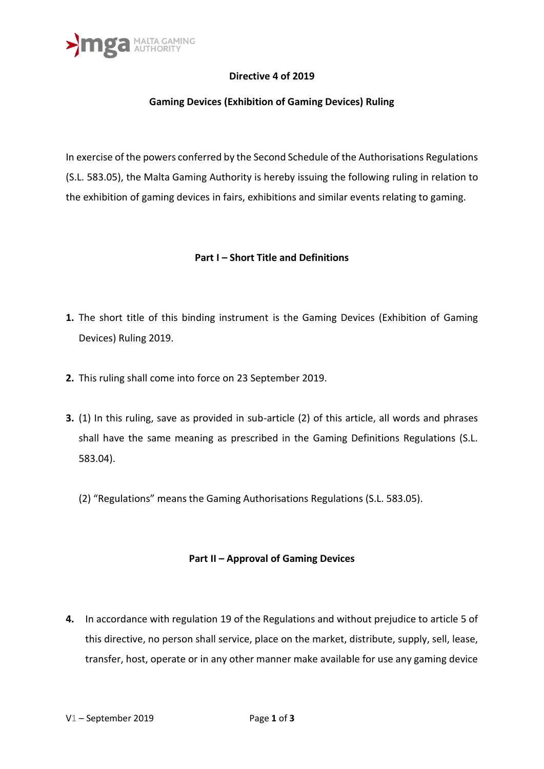

## **Directive 4 of 2019**

## **Gaming Devices (Exhibition of Gaming Devices) Ruling**

In exercise of the powers conferred by the Second Schedule of the Authorisations Regulations (S.L. 583.05), the Malta Gaming Authority is hereby issuing the following ruling in relation to the exhibition of gaming devices in fairs, exhibitions and similar events relating to gaming.

#### **Part I – Short Title and Definitions**

- **1.** The short title of this binding instrument is the Gaming Devices (Exhibition of Gaming Devices) Ruling 2019.
- **2.** This ruling shall come into force on 23 September 2019.
- **3.** (1) In this ruling, save as provided in sub-article (2) of this article, all words and phrases shall have the same meaning as prescribed in the Gaming Definitions Regulations (S.L. 583.04).
	- (2) "Regulations" means the Gaming Authorisations Regulations (S.L. 583.05).

#### **Part II – Approval of Gaming Devices**

**4.** In accordance with regulation 19 of the Regulations and without prejudice to article 5 of this directive, no person shall service, place on the market, distribute, supply, sell, lease, transfer, host, operate or in any other manner make available for use any gaming device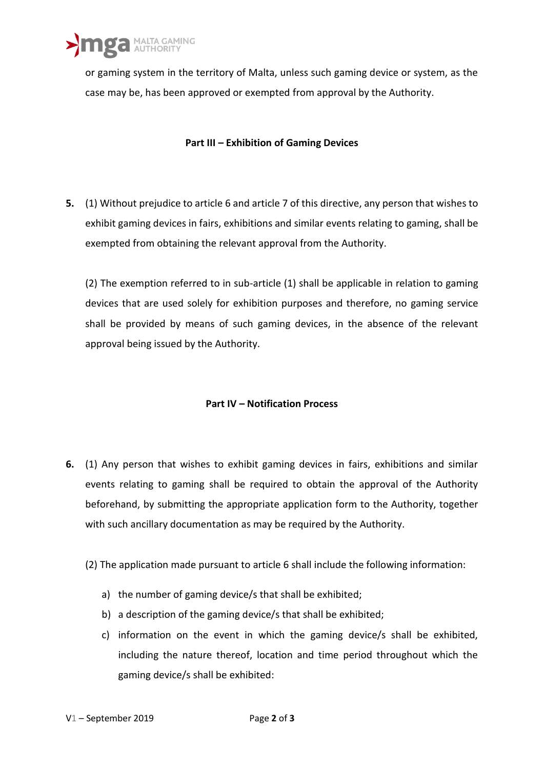>mga MALTA GAMING

or gaming system in the territory of Malta, unless such gaming device or system, as the case may be, has been approved or exempted from approval by the Authority.

## **Part III – Exhibition of Gaming Devices**

**5.** (1) Without prejudice to article 6 and article 7 of this directive, any person that wishes to exhibit gaming devices in fairs, exhibitions and similar events relating to gaming, shall be exempted from obtaining the relevant approval from the Authority.

(2) The exemption referred to in sub-article (1) shall be applicable in relation to gaming devices that are used solely for exhibition purposes and therefore, no gaming service shall be provided by means of such gaming devices, in the absence of the relevant approval being issued by the Authority.

# **Part IV – Notification Process**

- **6.** (1) Any person that wishes to exhibit gaming devices in fairs, exhibitions and similar events relating to gaming shall be required to obtain the approval of the Authority beforehand, by submitting the appropriate application form to the Authority, together with such ancillary documentation as may be required by the Authority.
	- (2) The application made pursuant to article 6 shall include the following information:
		- a) the number of gaming device/s that shall be exhibited;
		- b) a description of the gaming device/s that shall be exhibited;
		- c) information on the event in which the gaming device/s shall be exhibited, including the nature thereof, location and time period throughout which the gaming device/s shall be exhibited: